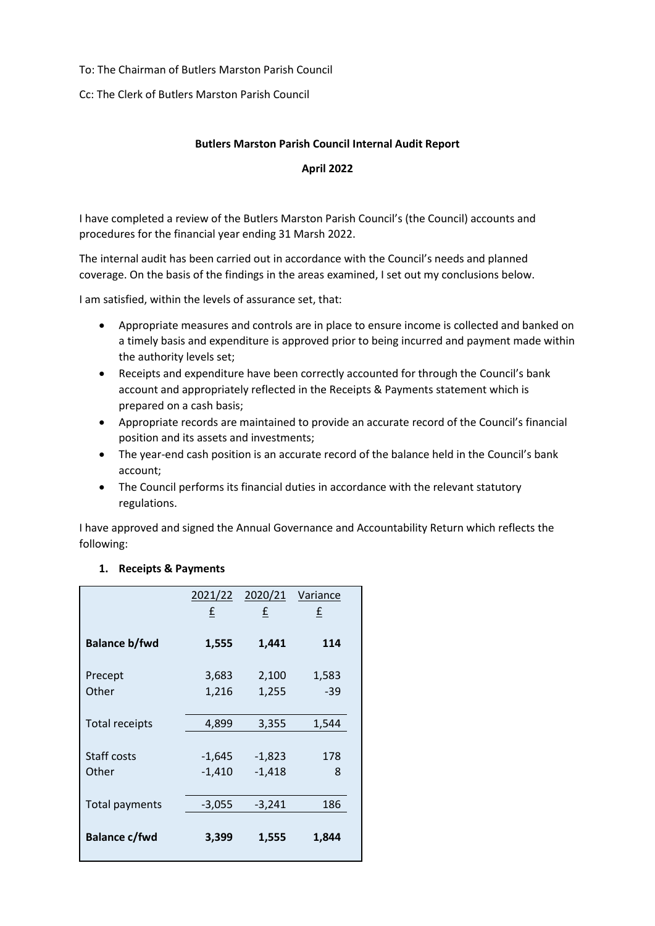### To: The Chairman of Butlers Marston Parish Council

Cc: The Clerk of Butlers Marston Parish Council

# **Butlers Marston Parish Council Internal Audit Report**

### **April 2022**

I have completed a review of the Butlers Marston Parish Council's (the Council) accounts and procedures for the financial year ending 31 Marsh 2022.

The internal audit has been carried out in accordance with the Council's needs and planned coverage. On the basis of the findings in the areas examined, I set out my conclusions below.

I am satisfied, within the levels of assurance set, that:

- Appropriate measures and controls are in place to ensure income is collected and banked on a timely basis and expenditure is approved prior to being incurred and payment made within the authority levels set;
- Receipts and expenditure have been correctly accounted for through the Council's bank account and appropriately reflected in the Receipts & Payments statement which is prepared on a cash basis;
- Appropriate records are maintained to provide an accurate record of the Council's financial position and its assets and investments;
- The year-end cash position is an accurate record of the balance held in the Council's bank account;
- The Council performs its financial duties in accordance with the relevant statutory regulations.

I have approved and signed the Annual Governance and Accountability Return which reflects the following:

### **1. Receipts & Payments**

|                       | 2021/22  | 2020/21  | Variance |
|-----------------------|----------|----------|----------|
|                       | £        | £        | £        |
|                       |          |          |          |
| <b>Balance b/fwd</b>  | 1,555    | 1,441    | 114      |
| Precept               | 3,683    | 2,100    | 1,583    |
|                       |          |          |          |
| Other                 | 1,216    | 1,255    | $-39$    |
|                       |          |          |          |
| <b>Total receipts</b> | 4,899    | 3,355    | 1,544    |
|                       |          |          |          |
| Staff costs           | $-1,645$ | $-1,823$ | 178      |
| Other                 | $-1,410$ | $-1,418$ | 8        |
|                       |          |          |          |
| <b>Total payments</b> | $-3,055$ | $-3,241$ | 186      |
|                       |          |          |          |
| <b>Balance c/fwd</b>  | 3,399    | 1,555    | 1,844    |